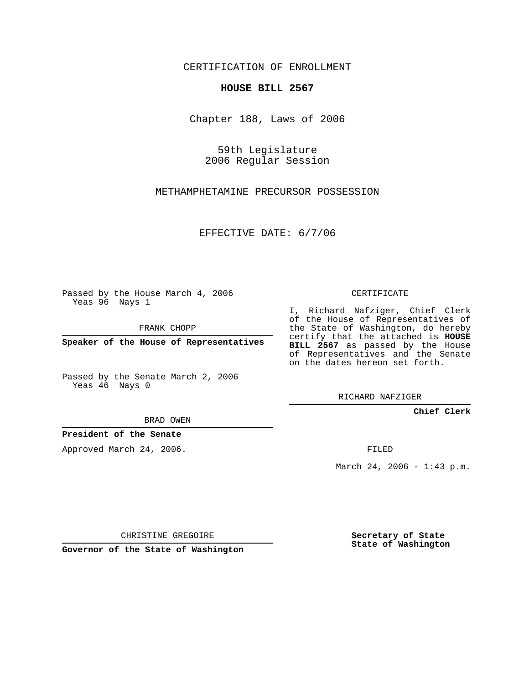CERTIFICATION OF ENROLLMENT

## **HOUSE BILL 2567**

Chapter 188, Laws of 2006

59th Legislature 2006 Regular Session

METHAMPHETAMINE PRECURSOR POSSESSION

EFFECTIVE DATE: 6/7/06

Passed by the House March 4, 2006 Yeas 96 Nays 1

FRANK CHOPP

**Speaker of the House of Representatives**

Passed by the Senate March 2, 2006 Yeas 46 Nays 0

I, Richard Nafziger, Chief Clerk of the House of Representatives of the State of Washington, do hereby certify that the attached is **HOUSE BILL 2567** as passed by the House of Representatives and the Senate on the dates hereon set forth.

CERTIFICATE

RICHARD NAFZIGER

**Chief Clerk**

BRAD OWEN

**President of the Senate**

Approved March 24, 2006.

FILED

March 24, 2006 - 1:43 p.m.

CHRISTINE GREGOIRE

**Governor of the State of Washington**

**Secretary of State State of Washington**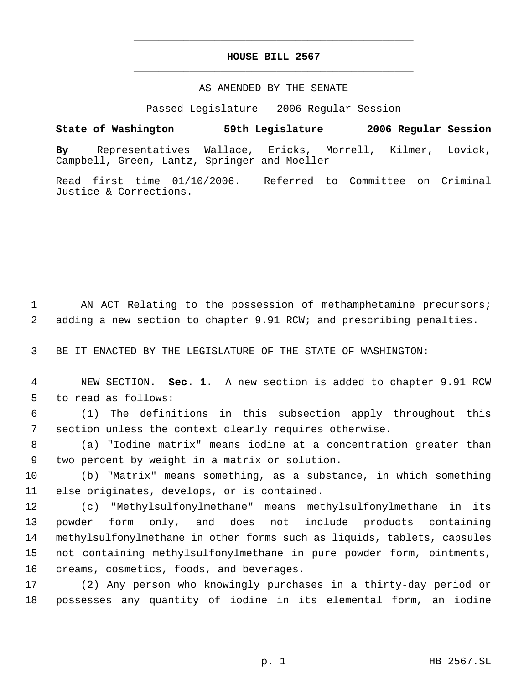## **HOUSE BILL 2567** \_\_\_\_\_\_\_\_\_\_\_\_\_\_\_\_\_\_\_\_\_\_\_\_\_\_\_\_\_\_\_\_\_\_\_\_\_\_\_\_\_\_\_\_\_

\_\_\_\_\_\_\_\_\_\_\_\_\_\_\_\_\_\_\_\_\_\_\_\_\_\_\_\_\_\_\_\_\_\_\_\_\_\_\_\_\_\_\_\_\_

## AS AMENDED BY THE SENATE

Passed Legislature - 2006 Regular Session

**State of Washington 59th Legislature 2006 Regular Session By** Representatives Wallace, Ericks, Morrell, Kilmer, Lovick, Campbell, Green, Lantz, Springer and Moeller

Read first time 01/10/2006. Referred to Committee on Criminal Justice & Corrections.

 AN ACT Relating to the possession of methamphetamine precursors; adding a new section to chapter 9.91 RCW; and prescribing penalties.

BE IT ENACTED BY THE LEGISLATURE OF THE STATE OF WASHINGTON:

 NEW SECTION. **Sec. 1.** A new section is added to chapter 9.91 RCW to read as follows:

 (1) The definitions in this subsection apply throughout this section unless the context clearly requires otherwise.

 (a) "Iodine matrix" means iodine at a concentration greater than two percent by weight in a matrix or solution.

 (b) "Matrix" means something, as a substance, in which something else originates, develops, or is contained.

 (c) "Methylsulfonylmethane" means methylsulfonylmethane in its powder form only, and does not include products containing methylsulfonylmethane in other forms such as liquids, tablets, capsules not containing methylsulfonylmethane in pure powder form, ointments, creams, cosmetics, foods, and beverages.

 (2) Any person who knowingly purchases in a thirty-day period or possesses any quantity of iodine in its elemental form, an iodine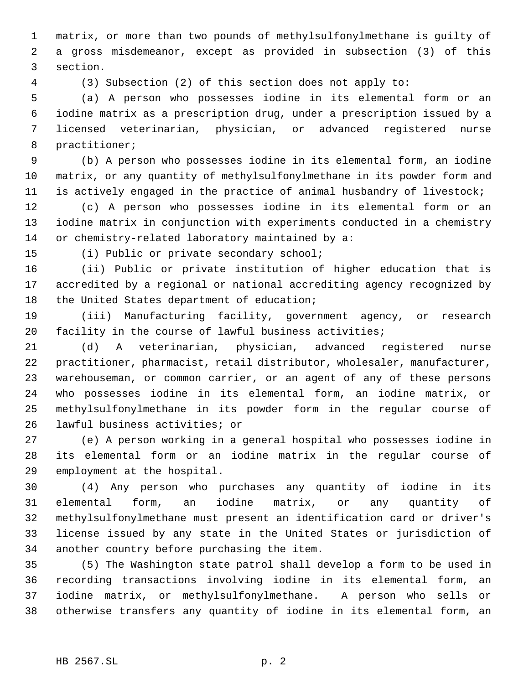matrix, or more than two pounds of methylsulfonylmethane is guilty of a gross misdemeanor, except as provided in subsection (3) of this section.

(3) Subsection (2) of this section does not apply to:

 (a) A person who possesses iodine in its elemental form or an iodine matrix as a prescription drug, under a prescription issued by a licensed veterinarian, physician, or advanced registered nurse practitioner;

 (b) A person who possesses iodine in its elemental form, an iodine matrix, or any quantity of methylsulfonylmethane in its powder form and is actively engaged in the practice of animal husbandry of livestock;

 (c) A person who possesses iodine in its elemental form or an iodine matrix in conjunction with experiments conducted in a chemistry or chemistry-related laboratory maintained by a:

(i) Public or private secondary school;

 (ii) Public or private institution of higher education that is accredited by a regional or national accrediting agency recognized by 18 the United States department of education;

 (iii) Manufacturing facility, government agency, or research facility in the course of lawful business activities;

 (d) A veterinarian, physician, advanced registered nurse practitioner, pharmacist, retail distributor, wholesaler, manufacturer, warehouseman, or common carrier, or an agent of any of these persons who possesses iodine in its elemental form, an iodine matrix, or methylsulfonylmethane in its powder form in the regular course of lawful business activities; or

 (e) A person working in a general hospital who possesses iodine in its elemental form or an iodine matrix in the regular course of employment at the hospital.

 (4) Any person who purchases any quantity of iodine in its elemental form, an iodine matrix, or any quantity of methylsulfonylmethane must present an identification card or driver's license issued by any state in the United States or jurisdiction of another country before purchasing the item.

 (5) The Washington state patrol shall develop a form to be used in recording transactions involving iodine in its elemental form, an iodine matrix, or methylsulfonylmethane. A person who sells or otherwise transfers any quantity of iodine in its elemental form, an